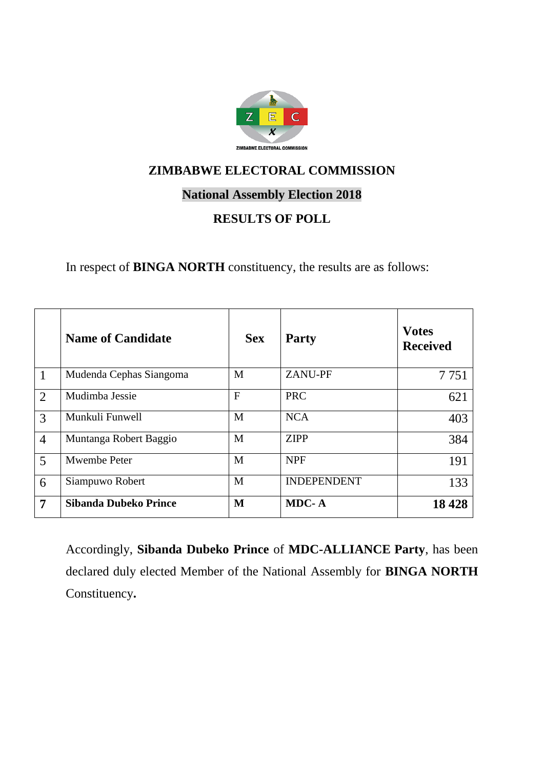

### **National Assembly Election 2018**

# **RESULTS OF POLL**

In respect of **BINGA NORTH** constituency, the results are as follows:

|                | <b>Name of Candidate</b> | <b>Sex</b>     | <b>Party</b>       | <b>Votes</b><br><b>Received</b> |
|----------------|--------------------------|----------------|--------------------|---------------------------------|
| $\overline{1}$ | Mudenda Cephas Siangoma  | M              | <b>ZANU-PF</b>     | 7 7 5 1                         |
| $\overline{2}$ | Mudimba Jessie           | $\overline{F}$ | <b>PRC</b>         | 621                             |
| 3              | Munkuli Funwell          | M              | <b>NCA</b>         | 403                             |
| $\overline{4}$ | Muntanga Robert Baggio   | M              | <b>ZIPP</b>        | 384                             |
| 5              | Mwembe Peter             | M              | <b>NPF</b>         | 191                             |
| 6              | Siampuwo Robert          | M              | <b>INDEPENDENT</b> | 133                             |
| $\overline{7}$ | Sibanda Dubeko Prince    | M              | MDC-A              | 18428                           |

Accordingly, **Sibanda Dubeko Prince** of **MDC-ALLIANCE Party**, has been declared duly elected Member of the National Assembly for **BINGA NORTH** Constituency**.**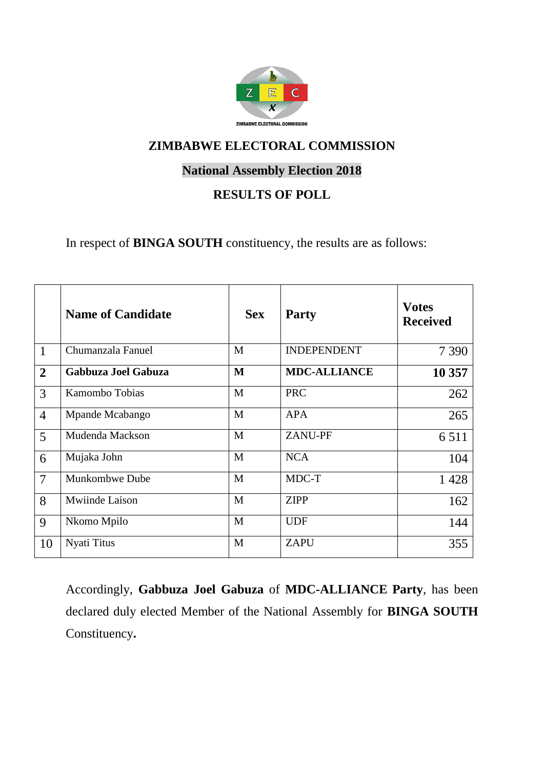

## **National Assembly Election 2018**

# **RESULTS OF POLL**

In respect of **BINGA SOUTH** constituency, the results are as follows:

|                | <b>Name of Candidate</b> | <b>Sex</b> | <b>Party</b>        | <b>Votes</b><br><b>Received</b> |
|----------------|--------------------------|------------|---------------------|---------------------------------|
| $\mathbf{1}$   | Chumanzala Fanuel        | M          | <b>INDEPENDENT</b>  | 7 3 9 0                         |
| $\overline{2}$ | Gabbuza Joel Gabuza      | M          | <b>MDC-ALLIANCE</b> | 10 357                          |
| 3              | Kamombo Tobias           | M          | <b>PRC</b>          | 262                             |
| $\overline{4}$ | Mpande Mcabango          | M          | <b>APA</b>          | 265                             |
| 5              | Mudenda Mackson          | M          | <b>ZANU-PF</b>      | 6 5 1 1                         |
| 6              | Mujaka John              | M          | <b>NCA</b>          | 104                             |
| $\overline{7}$ | Munkombwe Dube           | M          | MDC-T               | 1 4 2 8                         |
| 8              | Mwiinde Laison           | M          | <b>ZIPP</b>         | 162                             |
| $\mathbf{Q}$   | Nkomo Mpilo              | M          | <b>UDF</b>          | 144                             |
| 10             | Nyati Titus              | M          | <b>ZAPU</b>         | 355                             |

Accordingly, **Gabbuza Joel Gabuza** of **MDC-ALLIANCE Party**, has been declared duly elected Member of the National Assembly for **BINGA SOUTH** Constituency**.**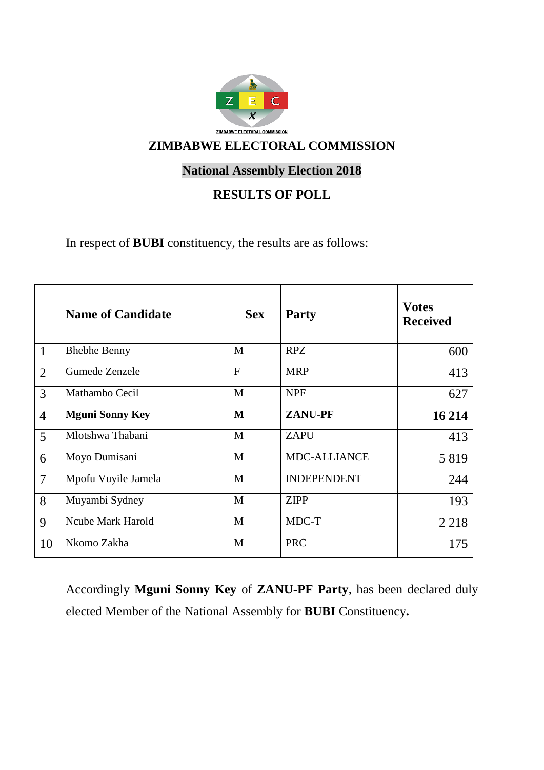

# **National Assembly Election 2018**

## **RESULTS OF POLL**

In respect of **BUBI** constituency, the results are as follows:

|                         | <b>Name of Candidate</b> | <b>Sex</b>     | <b>Party</b>        | <b>Votes</b><br><b>Received</b> |
|-------------------------|--------------------------|----------------|---------------------|---------------------------------|
| $\mathbf{1}$            | <b>Bhebhe Benny</b>      | M              | <b>RPZ</b>          | 600                             |
| $\overline{2}$          | Gumede Zenzele           | $\overline{F}$ | <b>MRP</b>          | 413                             |
| 3                       | Mathambo Cecil           | M              | <b>NPF</b>          | 627                             |
| $\overline{\mathbf{4}}$ | <b>Mguni Sonny Key</b>   | M              | <b>ZANU-PF</b>      | 16 214                          |
| 5                       | Mlotshwa Thabani         | M              | <b>ZAPU</b>         | 413                             |
| 6                       | Moyo Dumisani            | M              | <b>MDC-ALLIANCE</b> | 5819                            |
| $\overline{7}$          | Mpofu Vuyile Jamela      | M              | <b>INDEPENDENT</b>  | 244                             |
| 8                       | Muyambi Sydney           | M              | <b>ZIPP</b>         | 193                             |
| $\mathbf{Q}$            | Ncube Mark Harold        | M              | MDC-T               | 2 2 1 8                         |
| 10                      | Nkomo Zakha              | M              | <b>PRC</b>          | 175                             |

Accordingly **Mguni Sonny Key** of **ZANU-PF Party**, has been declared duly elected Member of the National Assembly for **BUBI** Constituency**.**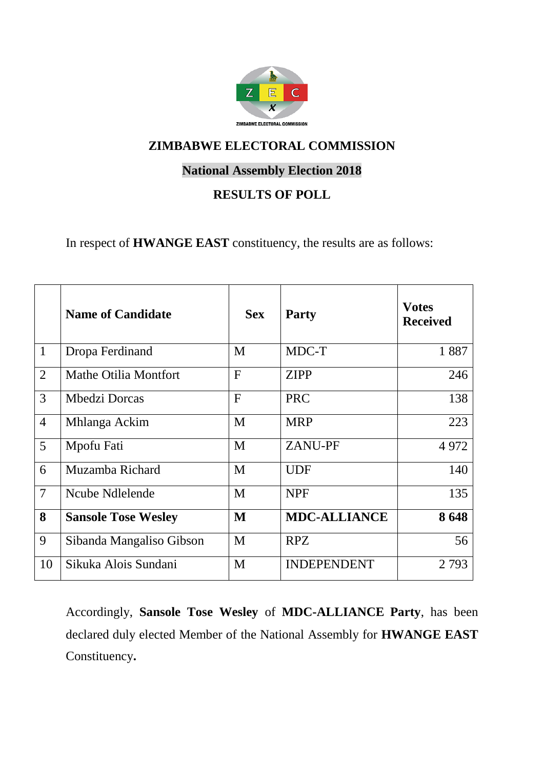

## **National Assembly Election 2018**

# **RESULTS OF POLL**

In respect of **HWANGE EAST** constituency, the results are as follows:

|                 | <b>Name of Candidate</b>     | <b>Sex</b>   | <b>Party</b>        | <b>Votes</b><br><b>Received</b> |
|-----------------|------------------------------|--------------|---------------------|---------------------------------|
| $\mathbf{1}$    | Dropa Ferdinand              | M            | MDC-T               | 1887                            |
| $\overline{2}$  | <b>Mathe Otilia Montfort</b> | $\mathbf{F}$ | <b>ZIPP</b>         | 246                             |
| $\overline{3}$  | Mbedzi Dorcas                | $\mathbf{F}$ | <b>PRC</b>          | 138                             |
| $\overline{4}$  | Mhlanga Ackim                | M            | <b>MRP</b>          | 223                             |
| $5\overline{)}$ | Mpofu Fati                   | M            | <b>ZANU-PF</b>      | 4 9 7 2                         |
| 6               | Muzamba Richard              | M            | <b>UDF</b>          | 140                             |
| $\overline{7}$  | Ncube Ndlelende              | M            | <b>NPF</b>          | 135                             |
| 8               | <b>Sansole Tose Wesley</b>   | M            | <b>MDC-ALLIANCE</b> | 8648                            |
| 9               | Sibanda Mangaliso Gibson     | M            | <b>RPZ</b>          | 56                              |
| 10              | Sikuka Alois Sundani         | M            | <b>INDEPENDENT</b>  | 2 7 9 3                         |

Accordingly, **Sansole Tose Wesley** of **MDC-ALLIANCE Party**, has been declared duly elected Member of the National Assembly for **HWANGE EAST** Constituency**.**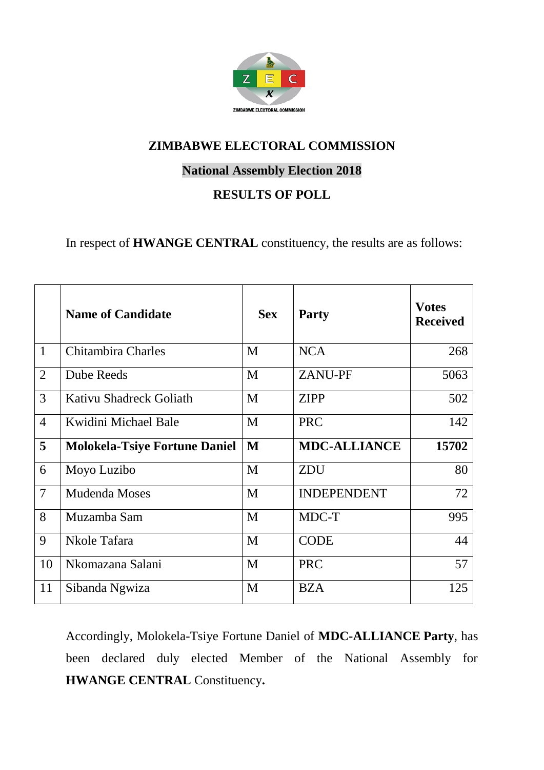

## **National Assembly Election 2018**

## **RESULTS OF POLL**

In respect of **HWANGE CENTRAL** constituency, the results are as follows:

|                | <b>Name of Candidate</b>             | <b>Sex</b> | <b>Party</b>        | <b>Votes</b><br><b>Received</b> |
|----------------|--------------------------------------|------------|---------------------|---------------------------------|
| $\mathbf{1}$   | Chitambira Charles                   | M          | <b>NCA</b>          | 268                             |
| $\overline{2}$ | <b>Dube Reeds</b>                    | M          | <b>ZANU-PF</b>      | 5063                            |
| 3              | Kativu Shadreck Goliath              | M          | <b>ZIPP</b>         | 502                             |
| $\overline{4}$ | Kwidini Michael Bale                 | M          | <b>PRC</b>          | 142                             |
| 5              | <b>Molokela-Tsiye Fortune Daniel</b> | M          | <b>MDC-ALLIANCE</b> | 15702                           |
| 6              | Moyo Luzibo                          | M          | <b>ZDU</b>          | 80                              |
| $\overline{7}$ | Mudenda Moses                        | M          | <b>INDEPENDENT</b>  | 72                              |
| 8              | Muzamba Sam                          | M          | MDC-T               | 995                             |
| 9              | Nkole Tafara                         | M          | <b>CODE</b>         | 44                              |
| 10             | Nkomazana Salani                     | M          | <b>PRC</b>          | 57                              |
| 11             | Sibanda Ngwiza                       | M          | <b>BZA</b>          | 125                             |

Accordingly, Molokela-Tsiye Fortune Daniel of **MDC-ALLIANCE Party**, has been declared duly elected Member of the National Assembly for **HWANGE CENTRAL** Constituency**.**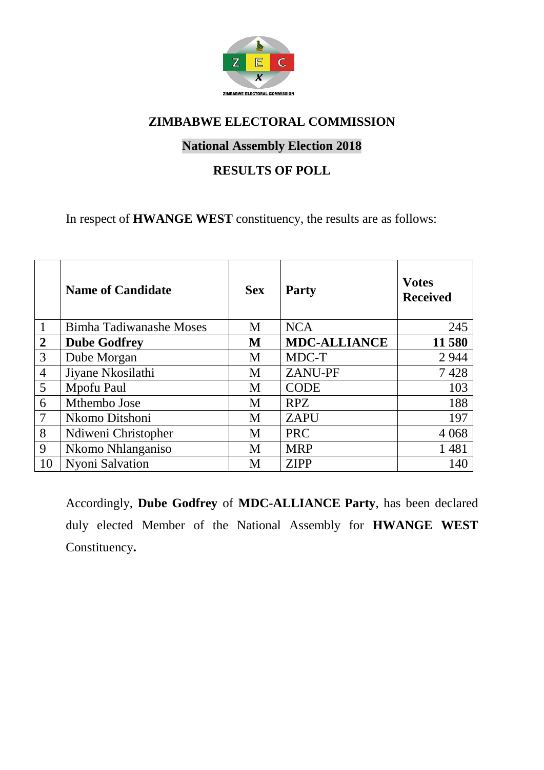

#### **National Assembly Election 2018**

### **RESULTS OF POLL**

In respect of **HWANGE WEST** constituency, the results are as follows:

|                | <b>Name of Candidate</b> | <b>Sex</b> | <b>Party</b>        | <b>Votes</b><br><b>Received</b> |
|----------------|--------------------------|------------|---------------------|---------------------------------|
| $\mathbf{1}$   | Bimha Tadiwanashe Moses  | M          | <b>NCA</b>          | 245                             |
| $\overline{2}$ | <b>Dube Godfrey</b>      | M          | <b>MDC-ALLIANCE</b> | 11580                           |
| 3              | Dube Morgan              | M          | MDC-T               | 2 9 4 4                         |
| $\overline{4}$ | Jiyane Nkosilathi        | M          | <b>ZANU-PF</b>      | 7428                            |
| 5              | Mpofu Paul               | M          | <b>CODE</b>         | 103                             |
| 6              | Mthembo Jose             | M          | <b>RPZ</b>          | 188                             |
| $\overline{7}$ | Nkomo Ditshoni           | M          | <b>ZAPU</b>         | 197                             |
| 8              | Ndiweni Christopher      | M          | <b>PRC</b>          | 4 0 6 8                         |
| 9              | Nkomo Nhlanganiso        | M          | <b>MRP</b>          | 1 4 8 1                         |
| 10             | Nyoni Salvation          | M          | <b>ZIPP</b>         | 140                             |

Accordingly, **Dube Godfrey** of **MDC-ALLIANCE Party**, has been declared duly elected Member of the National Assembly for **HWANGE WEST** Constituency**.**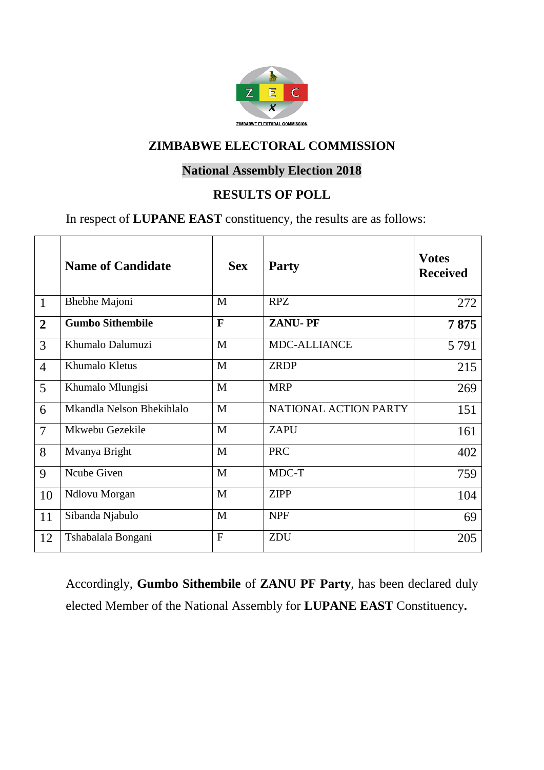

## **National Assembly Election 2018**

### **RESULTS OF POLL**

In respect of **LUPANE EAST** constituency, the results are as follows:

|                | <b>Name of Candidate</b>  | <b>Sex</b>     | <b>Party</b>          | <b>Votes</b><br><b>Received</b> |
|----------------|---------------------------|----------------|-----------------------|---------------------------------|
| $\mathbf{1}$   | <b>Bhebhe Majoni</b>      | M              | <b>RPZ</b>            | 272                             |
| $\overline{2}$ | <b>Gumbo Sithembile</b>   | F              | <b>ZANU-PF</b>        | 7875                            |
| 3              | Khumalo Dalumuzi          | M              | <b>MDC-ALLIANCE</b>   | 5 7 9 1                         |
| $\overline{4}$ | Khumalo Kletus            | M              | <b>ZRDP</b>           | 215                             |
| 5              | Khumalo Mlungisi          | M              | <b>MRP</b>            | 269                             |
| 6              | Mkandla Nelson Bhekihlalo | M              | NATIONAL ACTION PARTY | 151                             |
| $\overline{7}$ | Mkwebu Gezekile           | M              | <b>ZAPU</b>           | 161                             |
| 8              | Mvanya Bright             | M              | <b>PRC</b>            | 402                             |
| 9              | Ncube Given               | M              | MDC-T                 | 759                             |
| 10             | Ndlovu Morgan             | M              | <b>ZIPP</b>           | 104                             |
| 11             | Sibanda Njabulo           | M              | <b>NPF</b>            | 69                              |
| 12             | Tshabalala Bongani        | $\overline{F}$ | ZDU                   | 205                             |

Accordingly, **Gumbo Sithembile** of **ZANU PF Party**, has been declared duly elected Member of the National Assembly for **LUPANE EAST** Constituency**.**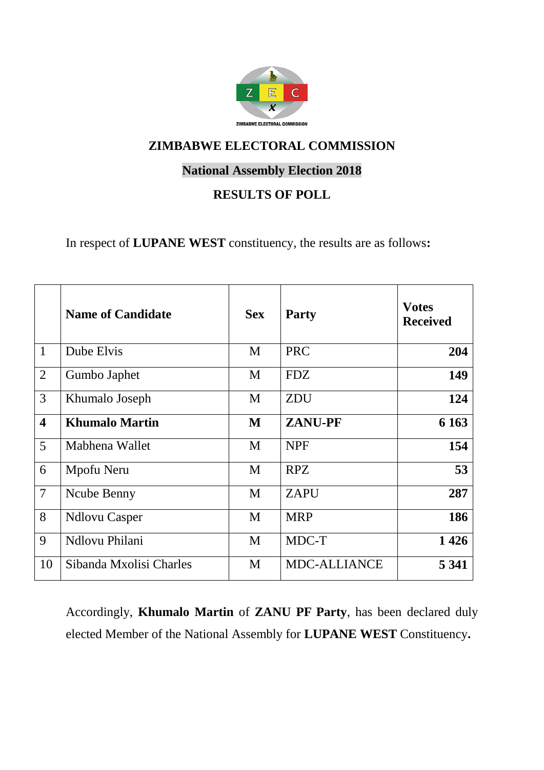

# **National Assembly Election 2018**

# **RESULTS OF POLL**

In respect of **LUPANE WEST** constituency, the results are as follows**:**

|                         | <b>Name of Candidate</b> | <b>Sex</b> | <b>Party</b>        | <b>Votes</b><br><b>Received</b> |
|-------------------------|--------------------------|------------|---------------------|---------------------------------|
| $\mathbf{1}$            | Dube Elvis               | M          | <b>PRC</b>          | 204                             |
| $\overline{2}$          | Gumbo Japhet             | M          | <b>FDZ</b>          | 149                             |
| 3                       | Khumalo Joseph           | M          | <b>ZDU</b>          | 124                             |
| $\overline{\mathbf{4}}$ | <b>Khumalo Martin</b>    | M          | <b>ZANU-PF</b>      | 6 1 6 3                         |
| 5                       | Mabhena Wallet           | M          | <b>NPF</b>          | 154                             |
| 6                       | Mpofu Neru               | M          | <b>RPZ</b>          | 53                              |
| $\overline{7}$          | Ncube Benny              | M          | <b>ZAPU</b>         | 287                             |
| 8                       | <b>Ndlovu Casper</b>     | M          | <b>MRP</b>          | 186                             |
| 9                       | Ndlovu Philani           | M          | MDC-T               | 1426                            |
| 10                      | Sibanda Mxolisi Charles  | M          | <b>MDC-ALLIANCE</b> | 5 3 4 1                         |

Accordingly, **Khumalo Martin** of **ZANU PF Party**, has been declared duly elected Member of the National Assembly for **LUPANE WEST** Constituency**.**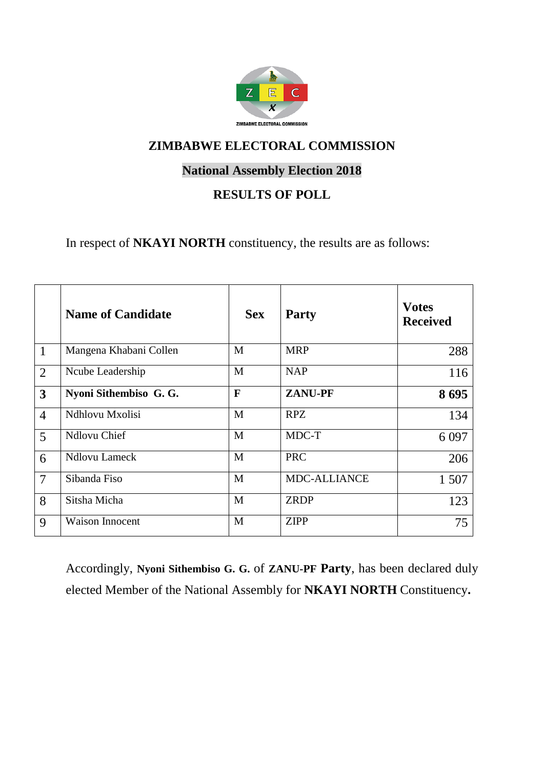

## **National Assembly Election 2018**

# **RESULTS OF POLL**

In respect of **NKAYI NORTH** constituency, the results are as follows:

|                         | <b>Name of Candidate</b> | <b>Sex</b>   | <b>Party</b>        | <b>Votes</b><br><b>Received</b> |
|-------------------------|--------------------------|--------------|---------------------|---------------------------------|
| $\mathbf{1}$            | Mangena Khabani Collen   | M            | <b>MRP</b>          | 288                             |
| $\overline{2}$          | Ncube Leadership         | M            | <b>NAP</b>          | 116                             |
| $\overline{\mathbf{3}}$ | Nyoni Sithembiso G. G.   | $\mathbf{F}$ | <b>ZANU-PF</b>      | 8695                            |
| $\overline{4}$          | Ndhlovu Mxolisi          | M            | <b>RPZ</b>          | 134                             |
| $\overline{5}$          | <b>Ndlovu Chief</b>      | M            | MDC-T               | 6 0 9 7                         |
| 6                       | <b>Ndlovu Lameck</b>     | M            | <b>PRC</b>          | 206                             |
| $\overline{7}$          | Sibanda Fiso             | M            | <b>MDC-ALLIANCE</b> | 1 507                           |
| 8                       | Sitsha Micha             | M            | <b>ZRDP</b>         | 123                             |
| 9                       | <b>Waison Innocent</b>   | M            | <b>ZIPP</b>         | 75                              |

Accordingly, **Nyoni Sithembiso G. G.** of **ZANU-PF Party**, has been declared duly elected Member of the National Assembly for **NKAYI NORTH** Constituency**.**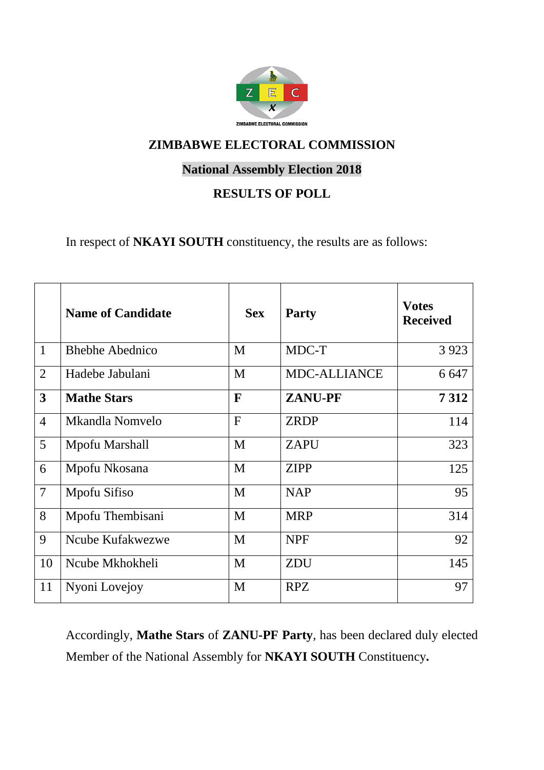

# **National Assembly Election 2018**

# **RESULTS OF POLL**

In respect of **NKAYI SOUTH** constituency, the results are as follows:

|                | <b>Name of Candidate</b> | <b>Sex</b>   | <b>Party</b>        | <b>Votes</b><br><b>Received</b> |
|----------------|--------------------------|--------------|---------------------|---------------------------------|
| $\mathbf{1}$   | <b>Bhebhe Abednico</b>   | M            | MDC-T               | 3 9 23                          |
| $\overline{2}$ | Hadebe Jabulani          | M            | <b>MDC-ALLIANCE</b> | 6 6 4 7                         |
| $\overline{3}$ | <b>Mathe Stars</b>       | $\mathbf{F}$ | <b>ZANU-PF</b>      | 7312                            |
| $\overline{4}$ | Mkandla Nomvelo          | $\mathbf{F}$ | <b>ZRDP</b>         | 114                             |
| 5              | Mpofu Marshall           | M            | <b>ZAPU</b>         | 323                             |
| 6              | Mpofu Nkosana            | M            | <b>ZIPP</b>         | 125                             |
| $\overline{7}$ | Mpofu Sifiso             | M            | <b>NAP</b>          | 95                              |
| 8              | Mpofu Thembisani         | M            | <b>MRP</b>          | 314                             |
| 9              | Ncube Kufakwezwe         | M            | <b>NPF</b>          | 92                              |
| 10             | Ncube Mkhokheli          | M            | ZDU                 | 145                             |
| 11             | Nyoni Lovejoy            | M            | <b>RPZ</b>          | 97                              |

Accordingly, **Mathe Stars** of **ZANU-PF Party**, has been declared duly elected Member of the National Assembly for **NKAYI SOUTH** Constituency**.**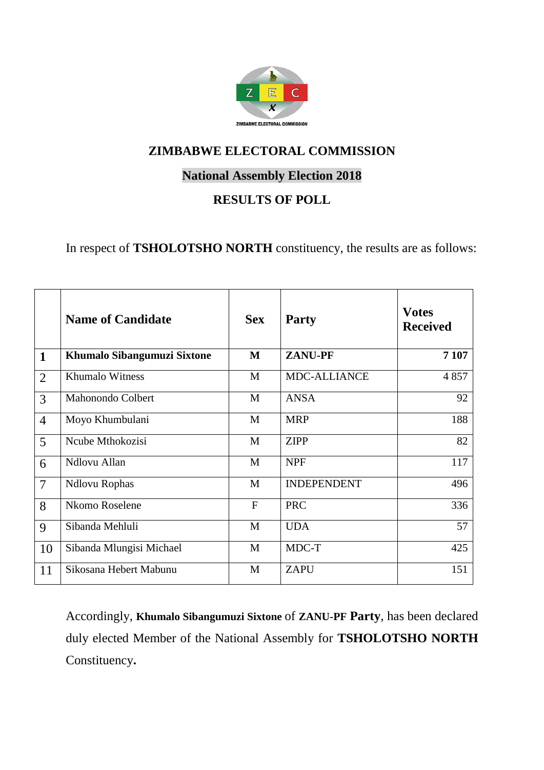

### **National Assembly Election 2018**

# **RESULTS OF POLL**

In respect of **TSHOLOTSHO NORTH** constituency, the results are as follows:

|                | <b>Name of Candidate</b>    | <b>Sex</b> | <b>Party</b>       | <b>Votes</b><br><b>Received</b> |
|----------------|-----------------------------|------------|--------------------|---------------------------------|
| $\mathbf{1}$   | Khumalo Sibangumuzi Sixtone | M          | <b>ZANU-PF</b>     | 7 107                           |
| $\overline{2}$ | Khumalo Witness             | M          | MDC-ALLIANCE       | 4 8 5 7                         |
| 3              | Mahonondo Colbert           | M          | <b>ANSA</b>        | 92                              |
| $\overline{4}$ | Moyo Khumbulani             | M          | <b>MRP</b>         | 188                             |
| 5              | Ncube Mthokozisi            | M          | <b>ZIPP</b>        | 82                              |
| 6              | Ndlovu Allan                | M          | <b>NPF</b>         | 117                             |
| $\overline{7}$ | <b>Ndlovu Rophas</b>        | M          | <b>INDEPENDENT</b> | 496                             |
| 8              | Nkomo Roselene              | F          | <b>PRC</b>         | 336                             |
| 9              | Sibanda Mehluli             | M          | <b>UDA</b>         | 57                              |
| 10             | Sibanda Mlungisi Michael    | M          | MDC-T              | 425                             |
| 11             | Sikosana Hebert Mabunu      | M          | <b>ZAPU</b>        | 151                             |

Accordingly, **Khumalo Sibangumuzi Sixtone** of **ZANU-PF Party**, has been declared duly elected Member of the National Assembly for **TSHOLOTSHO NORTH** Constituency**.**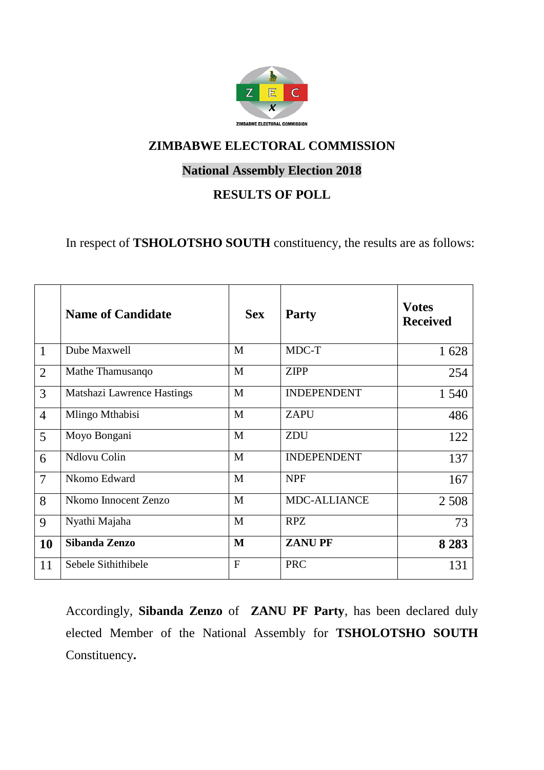

## **National Assembly Election 2018**

## **RESULTS OF POLL**

In respect of **TSHOLOTSHO SOUTH** constituency, the results are as follows:

|                | <b>Name of Candidate</b>   | <b>Sex</b>     | <b>Party</b>        | <b>Votes</b><br><b>Received</b> |
|----------------|----------------------------|----------------|---------------------|---------------------------------|
| $\mathbf{1}$   | Dube Maxwell               | M              | MDC-T               | 1628                            |
| $\overline{2}$ | Mathe Thamusango           | M              | <b>ZIPP</b>         | 254                             |
| 3              | Matshazi Lawrence Hastings | M              | <b>INDEPENDENT</b>  | 1 540                           |
| $\overline{4}$ | Mlingo Mthabisi            | M              | <b>ZAPU</b>         | 486                             |
| 5              | Moyo Bongani               | M              | ZDU                 | 122                             |
| 6              | Ndlovu Colin               | M              | <b>INDEPENDENT</b>  | 137                             |
| $\overline{7}$ | Nkomo Edward               | M              | <b>NPF</b>          | 167                             |
| 8              | Nkomo Innocent Zenzo       | M              | <b>MDC-ALLIANCE</b> | 2 5 0 8                         |
| 9              | Nyathi Majaha              | M              | <b>RPZ</b>          | 73                              |
| 10             | Sibanda Zenzo              | M              | <b>ZANUPF</b>       | 8 2 8 3                         |
| 11             | Sebele Sithithibele        | $\overline{F}$ | <b>PRC</b>          | 131                             |

Accordingly, **Sibanda Zenzo** of **ZANU PF Party**, has been declared duly elected Member of the National Assembly for **TSHOLOTSHO SOUTH** Constituency**.**